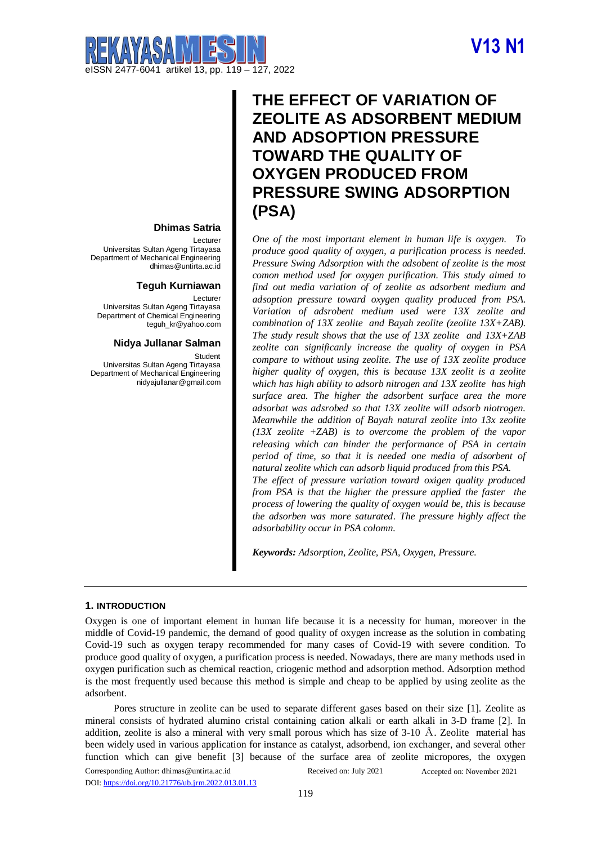# **V13 N1**



# **THE EFFECT OF VARIATION OF ZEOLITE AS ADSORBENT MEDIUM AND ADSOPTION PRESSURE TOWARD THE QUALITY OF OXYGEN PRODUCED FROM PRESSURE SWING ADSORPTION (PSA)**

*One of the most important element in human life is oxygen. To produce good quality of oxygen, a purification process is needed. Pressure Swing Adsorption with the adsobent of zeolite is the most comon method used for oxygen purification. This study aimed to find out media variation of of zeolite as adsorbent medium and adsoption pressure toward oxygen quality produced from PSA. Variation of adsrobent medium used were 13X zeolite and combination of 13X zeolite and Bayah zeolite (zeolite 13X+ZAB). The study result shows that the use of 13X zeolite and 13X+ZAB zeolite can significanly increase the quality of oxygen in PSA compare to without using zeolite. The use of 13X zeolite produce higher quality of oxygen, this is because 13X zeolit is a zeolite which has high ability to adsorb nitrogen and 13X zeolite has high surface area. The higher the adsorbent surface area the more adsorbat was adsrobed so that 13X zeolite will adsorb niotrogen. Meanwhile the addition of Bayah natural zeolite into 13x zeolite (13X zeolite +ZAB) is to overcome the problem of the vapor releasing which can hinder the performance of PSA in certain period of time, so that it is needed one media of adsorbent of natural zeolite which can adsorb liquid produced from this PSA.*

*The effect of pressure variation toward oxigen quality produced from PSA is that the higher the pressure applied the faster the process of lowering the quality of oxygen would be, this is because the adsorben was more saturated. The pressure highly affect the adsorbability occur in PSA colomn.* 

*Keywords: Adsorption, Zeolite, PSA, Oxygen, Pressure.*

# Lecturer

**Dhimas Satria**

Universitas Sultan Ageng Tirtayasa Department of Mechanical Engineering [dhimas@untirta.ac.id](mailto:dhimas@untirta.ac.id)

# **Teguh Kurniawan**

Lecturer Universitas Sultan Ageng Tirtayasa Department of Chemical Engineering [teguh\\_kr@yahoo.com](mailto:teguh_kr@yahoo.com)

### **Nidya Jullanar Salman**

Student

Universitas Sultan Ageng Tirtayasa Department of Mechanical Engineering [nidyajullanar@gmail.com](mailto:nidyajullanar@gmail.com)

# **1. INTRODUCTION**

Oxygen is one of important element in human life because it is a necessity for human, moreover in the middle of Covid-19 pandemic, the demand of good quality of oxygen increase as the solution in combating Covid-19 such as oxygen terapy recommended for many cases of Covid-19 with severe condition. To produce good quality of oxygen, a purification process is needed. Nowadays, there are many methods used in oxygen purification such as chemical reaction, criogenic method and adsorption method. Adsorption method is the most frequently used because this method is simple and cheap to be applied by using zeolite as the adsorbent.

Corresponding Author: [dhimas@untirta.ac.id](mailto:dhimas@untirta.ac.id) Pores structure in zeolite can be used to separate different gases based on their size [1]. Zeolite as mineral consists of hydrated alumino cristal containing cation alkali or earth alkali in 3-D frame [2]. In addition, zeolite is also a mineral with very small porous which has size of 3-10  $\AA$ . Zeolite material has been widely used in various application for instance as catalyst, adsorbend, ion exchanger, and several other function which can give benefit [3] because of the surface area of zeolite micropores, the oxygen

DOI[: https://doi.org/10.21776/ub.jrm.2022.013.01.13](https://doi.org/10.21776/ub.jrm.2022.013.01.13)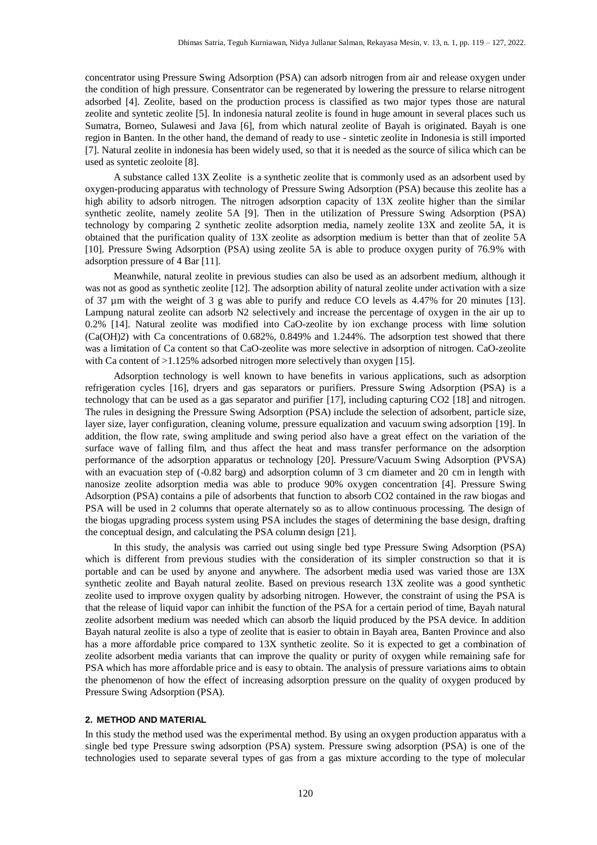concentrator using Pressure Swing Adsorption (PSA) can adsorb nitrogen from air and release oxygen under the condition of high pressure. Consentrator can be regenerated by lowering the pressure to relarse nitrogent adsorbed [4]. Zeolite, based on the production process is classified as two major types those are natural zeolite and syntetic zeolite [5]. In indonesia natural zeolite is found in huge amount in several places such us Sumatra, Borneo, Sulawesi and Java [6], from which natural zeolite of Bayah is originated. Bayah is one region in Banten. In the other hand, the demand of ready to use - sintetic zeolite in Indonesia is still imported [7]. Natural zeolite in indonesia has been widely used, so that it is needed as the source of silica which can be used as syntetic zeoloite [8].

A substance called 13X Zeolite is a synthetic zeolite that is commonly used as an adsorbent used by oxygen-producing apparatus with technology of Pressure Swing Adsorption (PSA) because this zeolite has a high ability to adsorb nitrogen. The nitrogen adsorption capacity of 13X zeolite higher than the similar synthetic zeolite, namely zeolite 5A [9]. Then in the utilization of Pressure Swing Adsorption (PSA) technology by comparing 2 synthetic zeolite adsorption media, namely zeolite 13X and zeolite 5A, it is obtained that the purification quality of 13X zeolite as adsorption medium is better than that of zeolite 5A [10]. Pressure Swing Adsorption (PSA) using zeolite 5A is able to produce oxygen purity of 76.9% with adsorption pressure of 4 Bar [11].

Meanwhile, natural zeolite in previous studies can also be used as an adsorbent medium, although it was not as good as synthetic zeolite [12]. The adsorption ability of natural zeolite under activation with a size of 37 µm with the weight of 3 g was able to purify and reduce CO levels as 4.47% for 20 minutes [13]. Lampung natural zeolite can adsorb N2 selectively and increase the percentage of oxygen in the air up to 0.2% [14]. Natural zeolite was modified into CaO-zeolite by ion exchange process with lime solution (Ca(OH)2) with Ca concentrations of 0.682%, 0.849% and 1.244%. The adsorption test showed that there was a limitation of Ca content so that CaO-zeolite was more selective in adsorption of nitrogen. CaO-zeolite with Ca content of >1.125% adsorbed nitrogen more selectively than oxygen [15].

Adsorption technology is well known to have benefits in various applications, such as adsorption refrigeration cycles [16], dryers and gas separators or purifiers. Pressure Swing Adsorption (PSA) is a technology that can be used as a gas separator and purifier [17], including capturing CO2 [18] and nitrogen. The rules in designing the Pressure Swing Adsorption (PSA) include the selection of adsorbent, particle size, layer size, layer configuration, cleaning volume, pressure equalization and vacuum swing adsorption [19]. In addition, the flow rate, swing amplitude and swing period also have a great effect on the variation of the surface wave of falling film, and thus affect the heat and mass transfer performance on the adsorption performance of the adsorption apparatus or technology [20]. Pressure/Vacuum Swing Adsorption (PVSA) with an evacuation step of  $(-0.82 \text{ barg})$  and adsorption column of 3 cm diameter and 20 cm in length with nanosize zeolite adsorption media was able to produce 90% oxygen concentration [4]. Pressure Swing Adsorption (PSA) contains a pile of adsorbents that function to absorb CO2 contained in the raw biogas and PSA will be used in 2 columns that operate alternately so as to allow continuous processing. The design of the biogas upgrading process system using PSA includes the stages of determining the base design, drafting the conceptual design, and calculating the PSA column design [21].

In this study, the analysis was carried out using single bed type Pressure Swing Adsorption (PSA) which is different from previous studies with the consideration of its simpler construction so that it is portable and can be used by anyone and anywhere. The adsorbent media used was varied those are 13X synthetic zeolite and Bayah natural zeolite. Based on previous research 13X zeolite was a good synthetic zeolite used to improve oxygen quality by adsorbing nitrogen. However, the constraint of using the PSA is that the release of liquid vapor can inhibit the function of the PSA for a certain period of time, Bayah natural zeolite adsorbent medium was needed which can absorb the liquid produced by the PSA device. In addition Bayah natural zeolite is also a type of zeolite that is easier to obtain in Bayah area, Banten Province and also has a more affordable price compared to 13X synthetic zeolite. So it is expected to get a combination of zeolite adsorbent media variants that can improve the quality or purity of oxygen while remaining safe for PSA which has more affordable price and is easy to obtain. The analysis of pressure variations aims to obtain the phenomenon of how the effect of increasing adsorption pressure on the quality of oxygen produced by Pressure Swing Adsorption (PSA).

#### **2. METHOD AND MATERIAL**

In this study the method used was the experimental method. By using an oxygen production apparatus with a single bed type Pressure swing adsorption (PSA) system. Pressure swing adsorption (PSA) is one of the technologies used to separate several types of gas from a gas mixture according to the type of molecular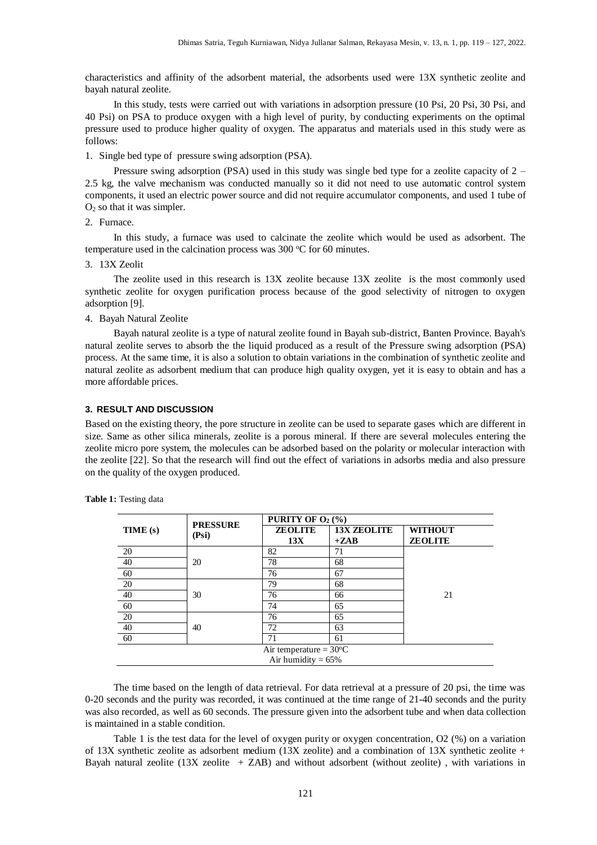characteristics and affinity of the adsorbent material, the adsorbents used were 13X synthetic zeolite and bayah natural zeolite.

In this study, tests were carried out with variations in adsorption pressure (10 Psi, 20 Psi, 30 Psi, and 40 Psi) on PSA to produce oxygen with a high level of purity, by conducting experiments on the optimal pressure used to produce higher quality of oxygen. The apparatus and materials used in this study were as follows:

1. Single bed type of pressure swing adsorption (PSA).

Pressure swing adsorption (PSA) used in this study was single bed type for a zeolite capacity of 2 – 2.5 kg, the valve mechanism was conducted manually so it did not need to use automatic control system components, it used an electric power source and did not require accumulator components, and used 1 tube of O<sup>2</sup> so that it was simpler.

2. Furnace.

In this study, a furnace was used to calcinate the zeolite which would be used as adsorbent. The temperature used in the calcination process was  $300 \,^{\circ}\text{C}$  for 60 minutes.

3. 13X Zeolit

The zeolite used in this research is 13X zeolite because 13X zeolite is the most commonly used synthetic zeolite for oxygen purification process because of the good selectivity of nitrogen to oxygen adsorption [9].

4. Bayah Natural Zeolite

Bayah natural zeolite is a type of natural zeolite found in Bayah sub-district, Banten Province. Bayah's natural zeolite serves to absorb the the liquid produced as a result of the Pressure swing adsorption (PSA) process. At the same time, it is also a solution to obtain variations in the combination of synthetic zeolite and natural zeolite as adsorbent medium that can produce high quality oxygen, yet it is easy to obtain and has a more affordable prices.

#### **3. RESULT AND DISCUSSION**

Based on the existing theory, the pore structure in zeolite can be used to separate gases which are different in size. Same as other silica minerals, zeolite is a porous mineral. If there are several molecules entering the zeolite micro pore system, the molecules can be adsorbed based on the polarity or molecular interaction with the zeolite [22]. So that the research will find out the effect of variations in adsorbs media and also pressure on the quality of the oxygen produced.

|                                  | <b>PRESSURE</b> | PURITY OF $O_2$ (%) |                    |                |
|----------------------------------|-----------------|---------------------|--------------------|----------------|
| TIME (s)                         | (Psi)           | <b>ZEOLITE</b>      | <b>13X ZEOLITE</b> | <b>WITHOUT</b> |
|                                  |                 | 13X                 | $+ZAB$             | <b>ZEOLITE</b> |
| 20                               | 20              | 82                  | 71                 |                |
| 40                               |                 | 78                  | 68                 |                |
| 60                               |                 | 76                  | 67                 |                |
| 20                               | 30              | 79                  | 68                 |                |
| 40                               |                 | 76                  | 66                 | 21             |
| 60                               |                 | 74                  | 65                 |                |
| 20                               | 40              | 76                  | 65                 |                |
| 40                               |                 | 72                  | 63                 |                |
| 60                               |                 | 71                  | 61                 |                |
| Air temperature = $30^{\circ}$ C |                 |                     |                    |                |
| Air humidity = $65\%$            |                 |                     |                    |                |

**Table 1:** Testing data

The time based on the length of data retrieval. For data retrieval at a pressure of 20 psi, the time was 0-20 seconds and the purity was recorded, it was continued at the time range of 21-40 seconds and the purity was also recorded, as well as 60 seconds. The pressure given into the adsorbent tube and when data collection is maintained in a stable condition.

Table 1 is the test data for the level of oxygen purity or oxygen concentration, O2 (%) on a variation of 13X synthetic zeolite as adsorbent medium (13X zeolite) and a combination of 13X synthetic zeolite + Bayah natural zeolite (13X zeolite + ZAB) and without adsorbent (without zeolite) , with variations in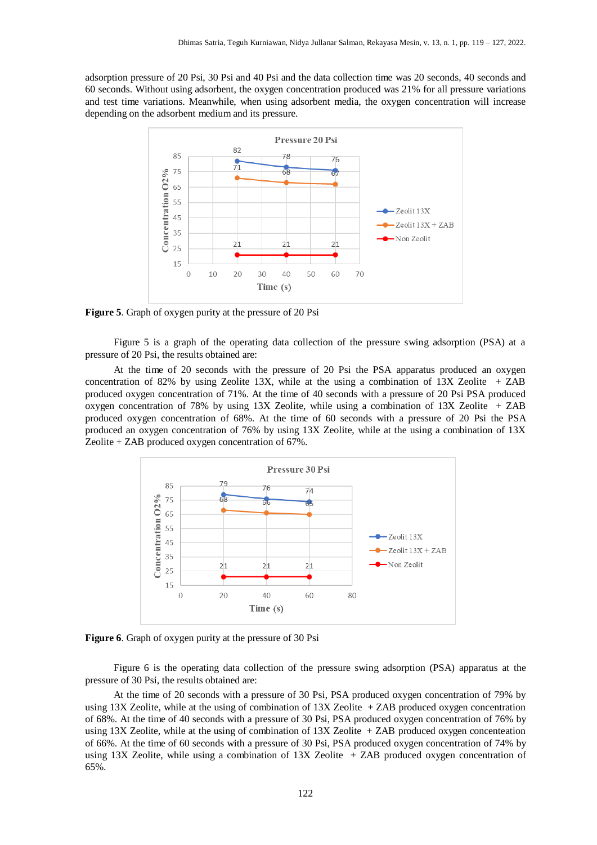adsorption pressure of 20 Psi, 30 Psi and 40 Psi and the data collection time was 20 seconds, 40 seconds and 60 seconds. Without using adsorbent, the oxygen concentration produced was 21% for all pressure variations and test time variations. Meanwhile, when using adsorbent media, the oxygen concentration will increase depending on the adsorbent medium and its pressure.



**Figure 5**. Graph of oxygen purity at the pressure of 20 Psi

Figure 5 is a graph of the operating data collection of the pressure swing adsorption (PSA) at a pressure of 20 Psi, the results obtained are:

At the time of 20 seconds with the pressure of 20 Psi the PSA apparatus produced an oxygen concentration of 82% by using Zeolite 13X, while at the using a combination of 13X Zeolite  $+ ZAB$ produced oxygen concentration of 71%. At the time of 40 seconds with a pressure of 20 Psi PSA produced oxygen concentration of 78% by using 13X Zeolite, while using a combination of 13X Zeolite + ZAB produced oxygen concentration of 68%. At the time of 60 seconds with a pressure of 20 Psi the PSA produced an oxygen concentration of 76% by using 13X Zeolite, while at the using a combination of 13X Zeolite + ZAB produced oxygen concentration of 67%.



**Figure 6**. Graph of oxygen purity at the pressure of 30 Psi

Figure 6 is the operating data collection of the pressure swing adsorption (PSA) apparatus at the pressure of 30 Psi, the results obtained are:

At the time of 20 seconds with a pressure of 30 Psi, PSA produced oxygen concentration of 79% by using 13X Zeolite, while at the using of combination of 13X Zeolite + ZAB produced oxygen concentration of 68%. At the time of 40 seconds with a pressure of 30 Psi, PSA produced oxygen concentration of 76% by using 13X Zeolite, while at the using of combination of  $13X$  Zeolite  $+$  ZAB produced oxygen concenteation of 66%. At the time of 60 seconds with a pressure of 30 Psi, PSA produced oxygen concentration of 74% by using 13X Zeolite, while using a combination of 13X Zeolite + ZAB produced oxygen concentration of 65%.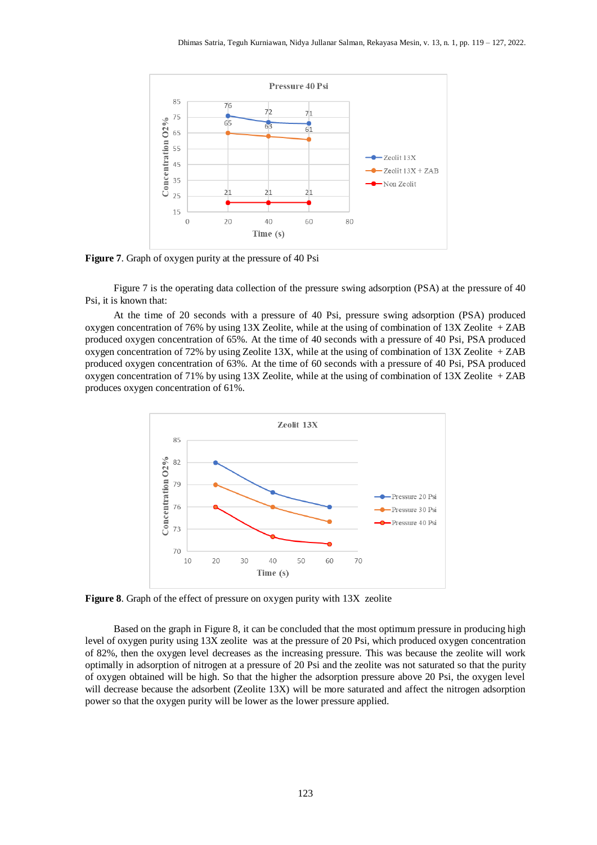

**Figure 7**. Graph of oxygen purity at the pressure of 40 Psi

Figure 7 is the operating data collection of the pressure swing adsorption (PSA) at the pressure of 40 Psi, it is known that:

At the time of 20 seconds with a pressure of 40 Psi, pressure swing adsorption (PSA) produced oxygen concentration of 76% by using 13X Zeolite, while at the using of combination of 13X Zeolite + ZAB produced oxygen concentration of 65%. At the time of 40 seconds with a pressure of 40 Psi, PSA produced oxygen concentration of 72% by using Zeolite 13X, while at the using of combination of 13X Zeolite + ZAB produced oxygen concentration of 63%. At the time of 60 seconds with a pressure of 40 Psi, PSA produced oxygen concentration of 71% by using 13X Zeolite, while at the using of combination of 13X Zeolite + ZAB produces oxygen concentration of 61%.



**Figure 8**. Graph of the effect of pressure on oxygen purity with 13X zeolite

Based on the graph in Figure 8, it can be concluded that the most optimum pressure in producing high level of oxygen purity using 13X zeolite was at the pressure of 20 Psi, which produced oxygen concentration of 82%, then the oxygen level decreases as the increasing pressure. This was because the zeolite will work optimally in adsorption of nitrogen at a pressure of 20 Psi and the zeolite was not saturated so that the purity of oxygen obtained will be high. So that the higher the adsorption pressure above 20 Psi, the oxygen level will decrease because the adsorbent (Zeolite 13X) will be more saturated and affect the nitrogen adsorption power so that the oxygen purity will be lower as the lower pressure applied.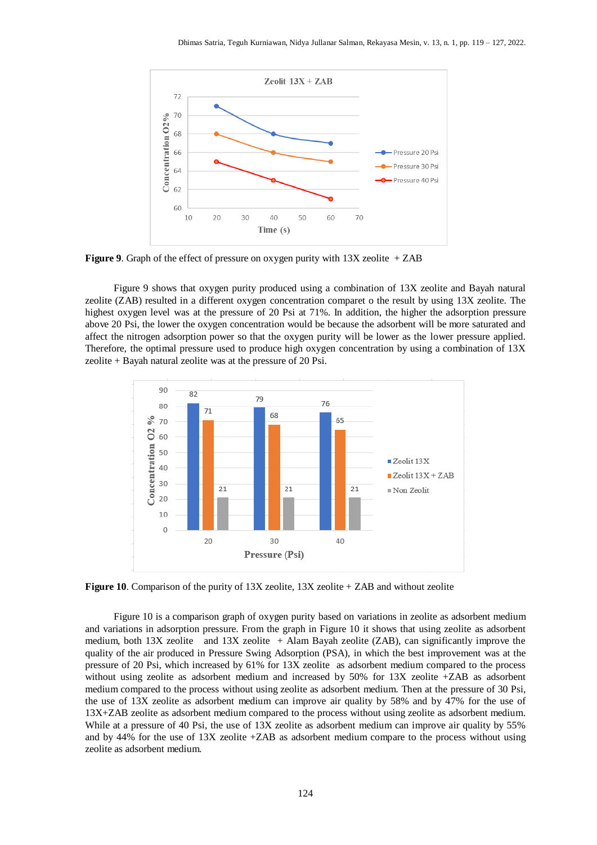

**Figure 9**. Graph of the effect of pressure on oxygen purity with 13X zeolite + ZAB

Figure 9 shows that oxygen purity produced using a combination of 13X zeolite and Bayah natural zeolite (ZAB) resulted in a different oxygen concentration comparet o the result by using 13X zeolite. The highest oxygen level was at the pressure of 20 Psi at 71%. In addition, the higher the adsorption pressure above 20 Psi, the lower the oxygen concentration would be because the adsorbent will be more saturated and affect the nitrogen adsorption power so that the oxygen purity will be lower as the lower pressure applied. Therefore, the optimal pressure used to produce high oxygen concentration by using a combination of 13X zeolite + Bayah natural zeolite was at the pressure of 20 Psi.



**Figure 10**. Comparison of the purity of 13X zeolite, 13X zeolite + ZAB and without zeolite

Figure 10 is a comparison graph of oxygen purity based on variations in zeolite as adsorbent medium and variations in adsorption pressure. From the graph in Figure 10 it shows that using zeolite as adsorbent medium, both 13X zeolite and 13X zeolite + Alam Bayah zeolite (ZAB), can significantly improve the quality of the air produced in Pressure Swing Adsorption (PSA), in which the best improvement was at the pressure of 20 Psi, which increased by 61% for 13X zeolite as adsorbent medium compared to the process without using zeolite as adsorbent medium and increased by 50% for 13X zeolite +ZAB as adsorbent medium compared to the process without using zeolite as adsorbent medium. Then at the pressure of 30 Psi, the use of 13X zeolite as adsorbent medium can improve air quality by 58% and by 47% for the use of 13X+ZAB zeolite as adsorbent medium compared to the process without using zeolite as adsorbent medium. While at a pressure of 40 Psi, the use of 13X zeolite as adsorbent medium can improve air quality by 55% and by 44% for the use of 13X zeolite +ZAB as adsorbent medium compare to the process without using zeolite as adsorbent medium.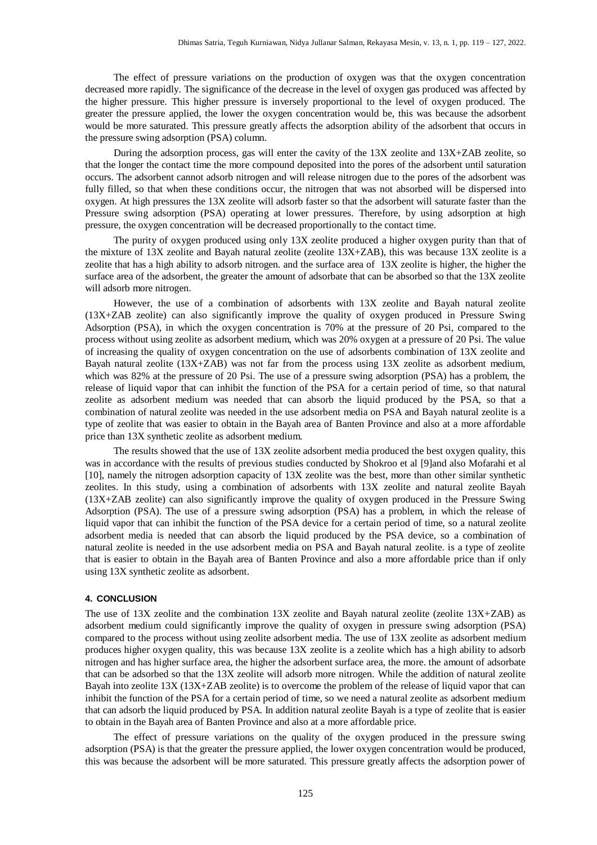The effect of pressure variations on the production of oxygen was that the oxygen concentration decreased more rapidly. The significance of the decrease in the level of oxygen gas produced was affected by the higher pressure. This higher pressure is inversely proportional to the level of oxygen produced. The greater the pressure applied, the lower the oxygen concentration would be, this was because the adsorbent would be more saturated. This pressure greatly affects the adsorption ability of the adsorbent that occurs in the pressure swing adsorption (PSA) column.

During the adsorption process, gas will enter the cavity of the 13X zeolite and 13X+ZAB zeolite, so that the longer the contact time the more compound deposited into the pores of the adsorbent until saturation occurs. The adsorbent cannot adsorb nitrogen and will release nitrogen due to the pores of the adsorbent was fully filled, so that when these conditions occur, the nitrogen that was not absorbed will be dispersed into oxygen. At high pressures the 13X zeolite will adsorb faster so that the adsorbent will saturate faster than the Pressure swing adsorption (PSA) operating at lower pressures. Therefore, by using adsorption at high pressure, the oxygen concentration will be decreased proportionally to the contact time.

The purity of oxygen produced using only 13X zeolite produced a higher oxygen purity than that of the mixture of 13X zeolite and Bayah natural zeolite (zeolite 13X+ZAB), this was because 13X zeolite is a zeolite that has a high ability to adsorb nitrogen. and the surface area of 13X zeolite is higher, the higher the surface area of the adsorbent, the greater the amount of adsorbate that can be absorbed so that the 13X zeolite will adsorb more nitrogen.

However, the use of a combination of adsorbents with 13X zeolite and Bayah natural zeolite (13X+ZAB zeolite) can also significantly improve the quality of oxygen produced in Pressure Swing Adsorption (PSA), in which the oxygen concentration is 70% at the pressure of 20 Psi, compared to the process without using zeolite as adsorbent medium, which was 20% oxygen at a pressure of 20 Psi. The value of increasing the quality of oxygen concentration on the use of adsorbents combination of 13X zeolite and Bayah natural zeolite (13X+ZAB) was not far from the process using 13X zeolite as adsorbent medium, which was 82% at the pressure of 20 Psi. The use of a pressure swing adsorption (PSA) has a problem, the release of liquid vapor that can inhibit the function of the PSA for a certain period of time, so that natural zeolite as adsorbent medium was needed that can absorb the liquid produced by the PSA, so that a combination of natural zeolite was needed in the use adsorbent media on PSA and Bayah natural zeolite is a type of zeolite that was easier to obtain in the Bayah area of Banten Province and also at a more affordable price than 13X synthetic zeolite as adsorbent medium.

The results showed that the use of 13X zeolite adsorbent media produced the best oxygen quality, this was in accordance with the results of previous studies conducted by Shokroo et al [9]and also Mofarahi et al [10], namely the nitrogen adsorption capacity of 13X zeolite was the best, more than other similar synthetic zeolites. In this study, using a combination of adsorbents with 13X zeolite and natural zeolite Bayah (13X+ZAB zeolite) can also significantly improve the quality of oxygen produced in the Pressure Swing Adsorption (PSA). The use of a pressure swing adsorption (PSA) has a problem, in which the release of liquid vapor that can inhibit the function of the PSA device for a certain period of time, so a natural zeolite adsorbent media is needed that can absorb the liquid produced by the PSA device, so a combination of natural zeolite is needed in the use adsorbent media on PSA and Bayah natural zeolite. is a type of zeolite that is easier to obtain in the Bayah area of Banten Province and also a more affordable price than if only using 13X synthetic zeolite as adsorbent.

#### **4. CONCLUSION**

The use of 13X zeolite and the combination 13X zeolite and Bayah natural zeolite (zeolite 13X+ZAB) as adsorbent medium could significantly improve the quality of oxygen in pressure swing adsorption (PSA) compared to the process without using zeolite adsorbent media. The use of 13X zeolite as adsorbent medium produces higher oxygen quality, this was because 13X zeolite is a zeolite which has a high ability to adsorb nitrogen and has higher surface area, the higher the adsorbent surface area, the more. the amount of adsorbate that can be adsorbed so that the 13X zeolite will adsorb more nitrogen. While the addition of natural zeolite Bayah into zeolite 13X (13X+ZAB zeolite) is to overcome the problem of the release of liquid vapor that can inhibit the function of the PSA for a certain period of time, so we need a natural zeolite as adsorbent medium that can adsorb the liquid produced by PSA. In addition natural zeolite Bayah is a type of zeolite that is easier to obtain in the Bayah area of Banten Province and also at a more affordable price.

The effect of pressure variations on the quality of the oxygen produced in the pressure swing adsorption (PSA) is that the greater the pressure applied, the lower oxygen concentration would be produced, this was because the adsorbent will be more saturated. This pressure greatly affects the adsorption power of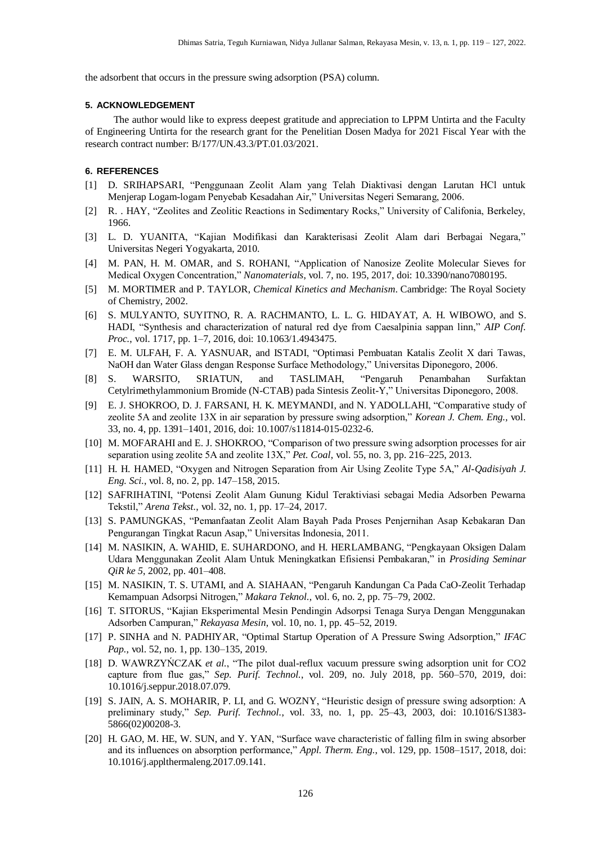the adsorbent that occurs in the pressure swing adsorption (PSA) column.

#### **5. ACKNOWLEDGEMENT**

The author would like to express deepest gratitude and appreciation to LPPM Untirta and the Faculty of Engineering Untirta for the research grant for the Penelitian Dosen Madya for 2021 Fiscal Year with the research contract number: B/177/UN.43.3/PT.01.03/2021.

#### **6. REFERENCES**

- [1] D. SRIHAPSARI, "Penggunaan Zeolit Alam yang Telah Diaktivasi dengan Larutan HCl untuk Menjerap Logam-logam Penyebab Kesadahan Air," Universitas Negeri Semarang, 2006.
- [2] R. . HAY, "Zeolites and Zeolitic Reactions in Sedimentary Rocks," University of Califonia, Berkeley, 1966.
- [3] L. D. YUANITA, "Kajian Modifikasi dan Karakterisasi Zeolit Alam dari Berbagai Negara," Universitas Negeri Yogyakarta, 2010.
- [4] M. PAN, H. M. OMAR, and S. ROHANI, "Application of Nanosize Zeolite Molecular Sieves for Medical Oxygen Concentration," *Nanomaterials*, vol. 7, no. 195, 2017, doi: 10.3390/nano7080195.
- [5] M. MORTIMER and P. TAYLOR, *Chemical Kinetics and Mechanism*. Cambridge: The Royal Society of Chemistry, 2002.
- [6] S. MULYANTO, SUYITNO, R. A. RACHMANTO, L. L. G. HIDAYAT, A. H. WIBOWO, and S. HADI, "Synthesis and characterization of natural red dye from Caesalpinia sappan linn," *AIP Conf. Proc.*, vol. 1717, pp. 1–7, 2016, doi: 10.1063/1.4943475.
- [7] E. M. ULFAH, F. A. YASNUAR, and ISTADI, "Optimasi Pembuatan Katalis Zeolit X dari Tawas, NaOH dan Water Glass dengan Response Surface Methodology," Universitas Diponegoro, 2006.
- [8] S. WARSITO, SRIATUN, and TASLIMAH, "Pengaruh Penambahan Surfaktan Cetylrimethylammonium Bromide (N-CTAB) pada Sintesis Zeolit-Y," Universitas Diponegoro, 2008.
- [9] E. J. SHOKROO, D. J. FARSANI, H. K. MEYMANDI, and N. YADOLLAHI, "Comparative study of zeolite 5A and zeolite 13X in air separation by pressure swing adsorption," *Korean J. Chem. Eng.,* vol. 33, no. 4, pp. 1391–1401, 2016, doi: 10.1007/s11814-015-0232-6.
- [10] M. MOFARAHI and E. J. SHOKROO, "Comparison of two pressure swing adsorption processes for air separation using zeolite 5A and zeolite 13X," *Pet. Coal*, vol. 55, no. 3, pp. 216–225, 2013.
- [11] H. H. HAMED, "Oxygen and Nitrogen Separation from Air Using Zeolite Type 5A," *Al-Qadisiyah J. Eng. Sci.*, vol. 8, no. 2, pp. 147–158, 2015.
- [12] SAFRIHATINI, "Potensi Zeolit Alam Gunung Kidul Teraktiviasi sebagai Media Adsorben Pewarna Tekstil," *Arena Tekst.*, vol. 32, no. 1, pp. 17–24, 2017.
- [13] S. PAMUNGKAS, "Pemanfaatan Zeolit Alam Bayah Pada Proses Penjernihan Asap Kebakaran Dan Pengurangan Tingkat Racun Asap," Universitas Indonesia, 2011.
- [14] M. NASIKIN, A. WAHID, E. SUHARDONO, and H. HERLAMBANG, "Pengkayaan Oksigen Dalam Udara Menggunakan Zeolit Alam Untuk Meningkatkan Efisiensi Pembakaran," in *Prosiding Seminar QiR ke 5*, 2002, pp. 401–408.
- [15] M. NASIKIN, T. S. UTAMI, and A. SIAHAAN, "Pengaruh Kandungan Ca Pada CaO-Zeolit Terhadap Kemampuan Adsorpsi Nitrogen," *Makara Teknol.*, vol. 6, no. 2, pp. 75–79, 2002.
- [16] T. SITORUS, "Kajian Eksperimental Mesin Pendingin Adsorpsi Tenaga Surya Dengan Menggunakan Adsorben Campuran," *Rekayasa Mesin*, vol. 10, no. 1, pp. 45–52, 2019.
- [17] P. SINHA and N. PADHIYAR, "Optimal Startup Operation of A Pressure Swing Adsorption," *IFAC Pap.*, vol. 52, no. 1, pp. 130–135, 2019.
- [18] D. WAWRZYŃCZAK *et al.*, "The pilot dual-reflux vacuum pressure swing adsorption unit for CO2 capture from flue gas," *Sep. Purif. Technol.*, vol. 209, no. July 2018, pp. 560–570, 2019, doi: 10.1016/j.seppur.2018.07.079.
- [19] S. JAIN, A. S. MOHARIR, P. LI, and G. WOZNY, "Heuristic design of pressure swing adsorption: A preliminary study," *Sep. Purif. Technol.*, vol. 33, no. 1, pp. 25–43, 2003, doi: 10.1016/S1383- 5866(02)00208-3.
- [20] H. GAO, M. HE, W. SUN, and Y. YAN, "Surface wave characteristic of falling film in swing absorber and its influences on absorption performance," *Appl. Therm. Eng.*, vol. 129, pp. 1508–1517, 2018, doi: 10.1016/j.applthermaleng.2017.09.141.